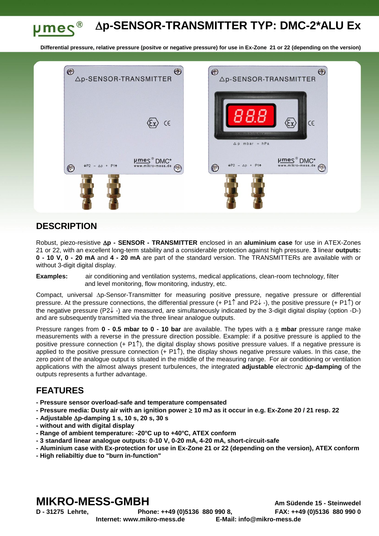#### **p-SENSOR-TRANSMITTER TYP: DMC-2\*ALU Ex**  $\mu$ mes®

**Differential pressure, relative pressure (positve or negative pressure) for use in Ex-Zone 21 or 22 (depending on the version)**



## **DESCRIPTION**

Robust, piezo-resistive **∆p - SENSOR - TRANSMITTER** enclosed in an **aluminium case** for use in ATEX-Zones 21 or 22, with an excellent long-term stability and a considerable protection against high pressure. **3** linear **outputs: 0 - 10 V, 0 - 20 mA** and **4 - 20 mA** are part of the standard version. The TRANSMITTERs are available with or without 3-digit digital display.

**Examples:** air conditioning and ventilation systems, medical applications, clean-room technology, filter and level monitoring, flow monitoring, industry, etc.

Compact, universal Ap-Sensor-Transmitter for measuring positive pressure, negative pressure or differential pressure. At the pressure connections, the differential pressure  $(+ P1\hat{)}$  and P2 $\downarrow$  -), the positive pressure  $(+ P1\hat{)}$  or the negative pressure (P2 $\downarrow$ -) are measured, are simultaneously indicated by the 3-digit digital display (option -D-) and are subsequently transmitted via the three linear analogue outputs.

Pressure ranges from **0 - 0.5 mbar to 0 - 10 bar** are available. The types with a **mbar** pressure range make measurements with a reverse in the pressure direction possible. Example: if a positive pressure is applied to the positive pressure connection  $(+ P1\hat{)}$ , the digital display shows positive pressure values. If a negative pressure is applied to the positive pressure connection  $(+ P1\hat{)}$ , the display shows negative pressure values. In this case, the zero point of the analogue output is situated in the middle of the measuring range. For air conditioning or ventilation applications with the almost always present turbulences, the integrated **adjustable** electronic **Ap-damping** of the outputs represents a further advantage.

## **FEATURES**

- **- Pressure sensor overload-safe and temperature compensated**
- **- Pressure media: Dusty air with an ignition power 10 mJ as it occur in e.g. Ex-Zone 20 / 21 resp. 22**
- **- Adjustable p-damping 1 s, 10 s, 20 s, 30 s**
- **- without and with digital display**
- **- Range of ambient temperature: -20°C up to +40°C, ATEX conform**
- **- 3 standard linear analogue outputs: 0-10 V, 0-20 mA, 4-20 mA, short-circuit-safe**
- **- Aluminium case with Ex-protection for use in Ex-Zone 21 or 22 (depending on the version), ATEX conform**
- **- High reliabiltiy due to "burn in-function"**

# **MIKRO-MESS-GMBH Am Südende 15 - Steinwedel**

**D - 31275 Lehrte, Phone: ++49 (0)5136 880 990 8, FAX: ++49 (0)5136 880 990 0 Internet: www.mikro-mess.de E-Mail: info@mikro-mess.de**